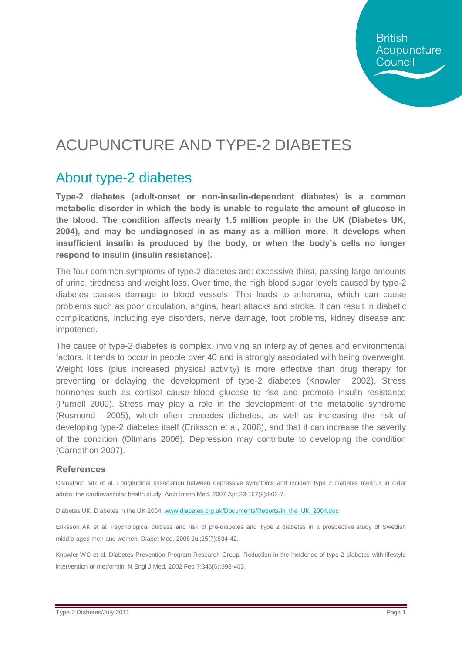**British** Acupuncture Council

## ACUPUNCTURE AND TYPE-2 DIABETES

#### About type-2 diabetes

**Type-2 diabetes (adult-onset or non-insulin-dependent diabetes) is a common metabolic disorder in which the body is unable to regulate the amount of glucose in the blood. The condition affects nearly 1.5 million people in the UK (Diabetes UK, 2004), and may be undiagnosed in as many as a million more. It develops when insufficient insulin is produced by the body, or when the body's cells no longer respond to insulin (insulin resistance).**

The four common symptoms of type-2 diabetes are: excessive thirst, passing large amounts of urine, tiredness and weight loss. Over time, the high blood sugar levels caused by type-2 diabetes causes damage to blood vessels. This leads to atheroma, which can cause problems such as poor circulation, angina, heart attacks and stroke. It can result in diabetic complications, including eye disorders, nerve damage, foot problems, kidney disease and impotence.

The cause of type-2 diabetes is complex, involving an interplay of genes and environmental factors. It tends to occur in people over 40 and is strongly associated with being overweight. Weight loss (plus increased physical activity) is more effective than drug therapy for preventing or delaying the development of type-2 diabetes (Knowler 2002). Stress hormones such as cortisol cause blood glucose to rise and promote insulin resistance (Purnell 2009). Stress may play a role in the development of the metabolic syndrome (Rosmond 2005), which often precedes diabetes, as well as increasing the risk of developing type-2 diabetes itself (Eriksson et al, 2008), and that it can increase the severity of the condition (Oltmans 2006). Depression may contribute to developing the condition (Carnethon 2007).

#### **References**

Carnethon MR et al. Longitudinal association between depressive symptoms and incident type 2 diabetes mellitus in older adults: the cardiovascular health study. Arch Intern Med. 2007 Apr 23;167(8):802-7.

Diabetes UK. Diabetes in the UK 2004. [www.diabetes.org.uk/Documents/Reports/in\\_the\\_UK\\_2004.doc](http://www.diabetes.org.uk/Documents/Reports/in_the_UK_2004.doc)

Eriksson AK et al. Psychological distress and risk of pre-diabetes and Type 2 diabetes in a prospective study of Swedish middle-aged men and women. Diabet Med. 2008 Jul;25(7):834-42.

Knowler WC et al. Diabetes Prevention Program Research Group. Reduction in the incidence of type 2 diabetes with lifestyle intervention or metformin. N Engl J Med. 2002 Feb 7;346(6):393-403.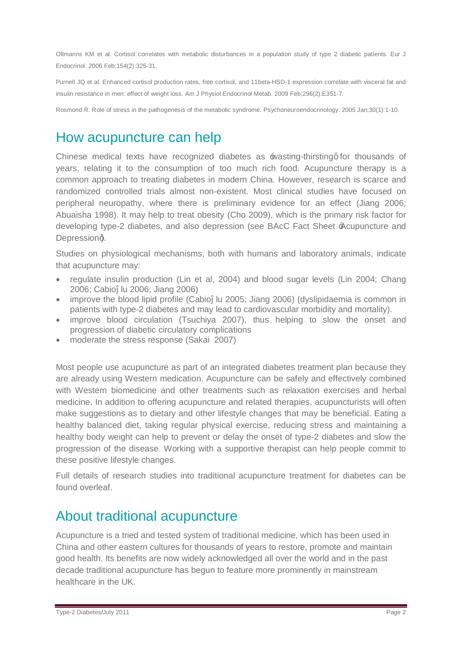Oltmanns KM et al. Cortisol correlates with metabolic disturbances in a population study of type 2 diabetic patients. Eur J Endocrinol. 2006 Feb;154(2):325-31.

Purnell JQ et al. Enhanced cortisol production rates, free cortisol, and 11beta-HSD-1 expression correlate with visceral fat and insulin resistance in men: effect of weight loss. Am J Physiol Endocrinol Metab. 2009 Feb;296(2):E351-7.

Rosmond R. Role of stress in the pathogenesis of the metabolic syndrome. Psychoneuroendocrinology. 2005 Jan;30(1):1-10.

### How acupuncture can help

Chinese medical texts have recognized diabetes as \*wasting-thirsting for thousands of years, relating it to the consumption of too much rich food. Acupuncture therapy is a common approach to treating diabetes in modern China. However, research is scarce and randomized controlled trials almost non-existent. Most clinical studies have focused on peripheral neuropathy, where there is preliminary evidence for an effect (Jiang 2006; Abuaisha 1998). It may help to treat obesity (Cho 2009), which is the primary risk factor for developing type-2 diabetes, and also depression (see BAcC Fact Sheet 'Acupuncture and Depressiong.

Studies on physiological mechanisms, both with humans and laboratory animals, indicate that acupuncture may:

- regulate insulin production (Lin et al, 2004) and blood sugar levels (Lin 2004; Chang 2006; Cabio lu 2006; Jiang 2006)
- · improve the blood lipid profile (Cabio lu 2005; Jiang 2006) (dyslipidaemia is common in patients with type-2 diabetes and may lead to cardiovascular morbidity and mortality).
- · improve blood circulation (Tsuchiya 2007), thus helping to slow the onset and progression of diabetic circulatory complications
- moderate the stress response (Sakai 2007)

Most people use acupuncture as part of an integrated diabetes treatment plan because they are already using Western medication. Acupuncture can be safely and effectively combined with Western biomedicine and other treatments such as relaxation exercises and herbal medicine. In addition to offering acupuncture and related therapies, acupuncturists will often make suggestions as to dietary and other lifestyle changes that may be beneficial. Eating a healthy balanced diet, taking regular physical exercise, reducing stress and maintaining a healthy body weight can help to prevent or delay the onset of type-2 diabetes and slow the progression of the disease. Working with a supportive therapist can help people commit to these positive lifestyle changes.

Full details of research studies into traditional acupuncture treatment for diabetes can be found overleaf.

#### About traditional acupuncture

Acupuncture is a tried and tested system of traditional medicine, which has been used in China and other eastern cultures for thousands of years to restore, promote and maintain good health. Its benefits are now widely acknowledged all over the world and in the past decade traditional acupuncture has begun to feature more prominently in mainstream healthcare in the UK.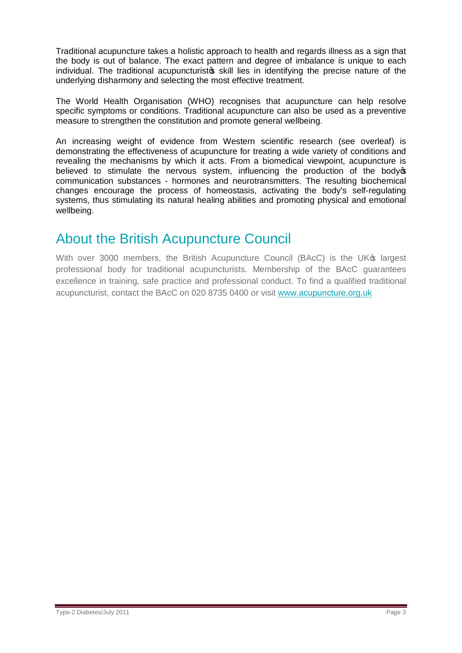Traditional acupuncture takes a holistic approach to health and regards illness as a sign that the body is out of balance. The exact pattern and degree of imbalance is unique to each individual. The traditional acupuncturists skill lies in identifying the precise nature of the underlying disharmony and selecting the most effective treatment.

The World Health Organisation (WHO) recognises that acupuncture can help resolve specific symptoms or conditions. Traditional acupuncture can also be used as a preventive measure to strengthen the constitution and promote general wellbeing.

An increasing weight of evidence from Western scientific research (see overleaf) is demonstrating the effectiveness of acupuncture for treating a wide variety of conditions and revealing the mechanisms by which it acts. From a biomedical viewpoint, acupuncture is believed to stimulate the nervous system, influencing the production of the body of communication substances - hormones and neurotransmitters. The resulting biochemical changes encourage the process of homeostasis, activating the body's self-regulating systems, thus stimulating its natural healing abilities and promoting physical and emotional wellbeing.

### About the British Acupuncture Council

With over 3000 members, the British Acupuncture Council (BAcC) is the UK<sup>®</sup> largest professional body for traditional acupuncturists. Membership of the BAcC guarantees excellence in training, safe practice and professional conduct. To find a qualified traditional acupuncturist, contact the BAcC on 020 8735 0400 or visit [www.acupuncture.org.uk](http://www.acupuncture.org.uk/)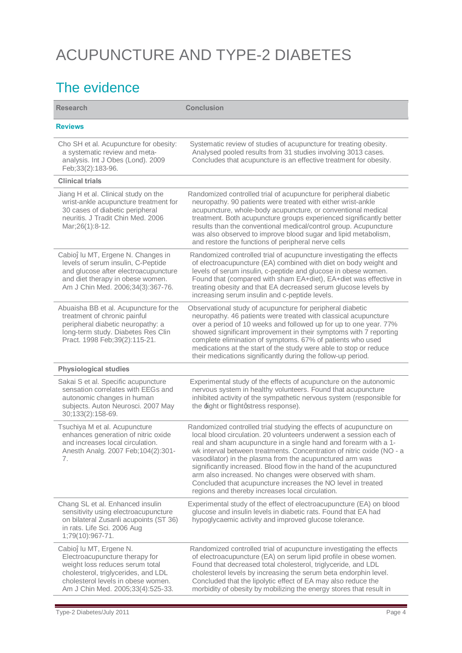# ACUPUNCTURE AND TYPE-2 DIABETES

## The evidence

| <b>Research</b>                                                                                                                                                                                               | <b>Conclusion</b>                                                                                                                                                                                                                                                                                                                                                                                                                                                                                                                                                                                       |
|---------------------------------------------------------------------------------------------------------------------------------------------------------------------------------------------------------------|---------------------------------------------------------------------------------------------------------------------------------------------------------------------------------------------------------------------------------------------------------------------------------------------------------------------------------------------------------------------------------------------------------------------------------------------------------------------------------------------------------------------------------------------------------------------------------------------------------|
| <b>Reviews</b>                                                                                                                                                                                                |                                                                                                                                                                                                                                                                                                                                                                                                                                                                                                                                                                                                         |
| Cho SH et al. Acupuncture for obesity:<br>a systematic review and meta-<br>analysis. Int J Obes (Lond). 2009<br>Feb;33(2):183-96.                                                                             | Systematic review of studies of acupuncture for treating obesity.<br>Analysed pooled results from 31 studies involving 3013 cases.<br>Concludes that acupuncture is an effective treatment for obesity.                                                                                                                                                                                                                                                                                                                                                                                                 |
| <b>Clinical trials</b>                                                                                                                                                                                        |                                                                                                                                                                                                                                                                                                                                                                                                                                                                                                                                                                                                         |
| Jiang H et al. Clinical study on the<br>wrist-ankle acupuncture treatment for<br>30 cases of diabetic peripheral<br>neuritis. J Tradit Chin Med. 2006<br>Mar; 26(1): 8-12.                                    | Randomized controlled trial of acupuncture for peripheral diabetic<br>neuropathy. 90 patients were treated with either wrist-ankle<br>acupuncture, whole-body acupuncture, or conventional medical<br>treatment. Both acupuncture groups experienced significantly better<br>results than the conventional medical/control group. Acupuncture<br>was also observed to improve blood sugar and lipid metabolism,<br>and restore the functions of peripheral nerve cells                                                                                                                                  |
| Cabio Iu MT, Ergene N. Changes in<br>levels of serum insulin, C-Peptide<br>and glucose after electroacupuncture<br>and diet therapy in obese women.<br>Am J Chin Med. 2006;34(3):367-76.                      | Randomized controlled trial of acupuncture investigating the effects<br>of electroacupuncture (EA) combined with diet on body weight and<br>levels of serum insulin, c-peptide and glucose in obese women.<br>Found that (compared with sham EA+diet), EA+diet was effective in<br>treating obesity and that EA decreased serum glucose levels by<br>increasing serum insulin and c-peptide levels.                                                                                                                                                                                                     |
| Abuaisha BB et al. Acupuncture for the<br>treatment of chronic painful<br>peripheral diabetic neuropathy: a<br>long-term study. Diabetes Res Clin<br>Pract. 1998 Feb; 39(2): 115-21.                          | Observational study of acupuncture for peripheral diabetic<br>neuropathy. 46 patients were treated with classical acupuncture<br>over a period of 10 weeks and followed up for up to one year. 77%<br>showed significant improvement in their symptoms with 7 reporting<br>complete elimination of symptoms. 67% of patients who used<br>medications at the start of the study were able to stop or reduce<br>their medications significantly during the follow-up period.                                                                                                                              |
| <b>Physiological studies</b>                                                                                                                                                                                  |                                                                                                                                                                                                                                                                                                                                                                                                                                                                                                                                                                                                         |
| Sakai S et al. Specific acupuncture<br>sensation correlates with EEGs and<br>autonomic changes in human<br>subjects. Auton Neurosci. 2007 May<br>30;133(2):158-69.                                            | Experimental study of the effects of acupuncture on the autonomic<br>nervous system in healthy volunteers. Found that acupuncture<br>inhibited activity of the sympathetic nervous system (responsible for<br>the <i>fight</i> or flight gstress response).                                                                                                                                                                                                                                                                                                                                             |
| Tsuchiya M et al. Acupuncture<br>enhances generation of nitric oxide<br>and increases local circulation.<br>Anesth Analg. 2007 Feb; 104(2): 301-<br>7.                                                        | Randomized controlled trial studying the effects of acupuncture on<br>local blood circulation. 20 volunteers underwent a session each of<br>real and sham acupuncture in a single hand and forearm with a 1-<br>wk interval between treatments. Concentration of nitric oxide (NO - a<br>vasodilator) in the plasma from the acupunctured arm was<br>significantly increased. Blood flow in the hand of the acupunctured<br>arm also increased. No changes were observed with sham.<br>Concluded that acupuncture increases the NO level in treated<br>regions and thereby increases local circulation. |
| Chang SL et al. Enhanced insulin<br>sensitivity using electroacupuncture<br>on bilateral Zusanli acupoints (ST 36)<br>in rats. Life Sci. 2006 Aug<br>1;79(10):967-71.                                         | Experimental study of the effect of electroacupuncture (EA) on blood<br>glucose and insulin levels in diabetic rats. Found that EA had<br>hypoglycaemic activity and improved glucose tolerance.                                                                                                                                                                                                                                                                                                                                                                                                        |
| Cabio Iu MT, Ergene N.<br>Electroacupuncture therapy for<br>weight loss reduces serum total<br>cholesterol, triglycerides, and LDL<br>cholesterol levels in obese women.<br>Am J Chin Med. 2005;33(4):525-33. | Randomized controlled trial of acupuncture investigating the effects<br>of electroacupuncture (EA) on serum lipid profile in obese women.<br>Found that decreased total cholesterol, triglyceride, and LDL<br>cholesterol levels by increasing the serum beta endorphin level.<br>Concluded that the lipolytic effect of EA may also reduce the<br>morbidity of obesity by mobilizing the energy stores that result in                                                                                                                                                                                  |